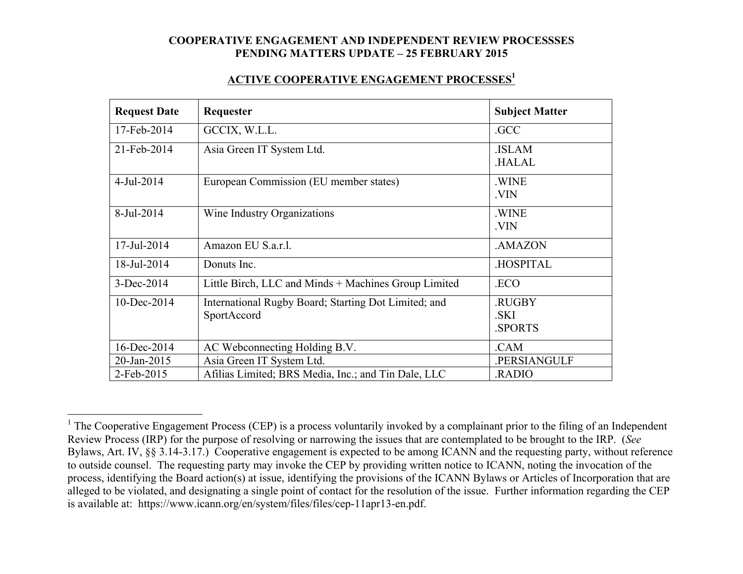### **ACTIVE COOPERATIVE ENGAGEMENT PROCESSES1**

| <b>Request Date</b> | Requester                                                           | <b>Subject Matter</b>                 |  |
|---------------------|---------------------------------------------------------------------|---------------------------------------|--|
| 17-Feb-2014         | GCCIX, W.L.L.                                                       | .GCC                                  |  |
| 21-Feb-2014         | Asia Green IT System Ltd.                                           | <b>ISLAM</b><br><b>HALAL</b>          |  |
| 4-Jul-2014          | European Commission (EU member states)                              | .WINE<br>.VIN                         |  |
| 8-Jul-2014          | Wine Industry Organizations                                         | .WINE<br>.VIN                         |  |
| 17-Jul-2014         | Amazon EU S.a.r.l.                                                  | .AMAZON                               |  |
| 18-Jul-2014         | Donuts Inc.                                                         | <b>HOSPITAL</b>                       |  |
| 3-Dec-2014          | Little Birch, LLC and Minds + Machines Group Limited                | .ECO                                  |  |
| 10-Dec-2014         | International Rugby Board; Starting Dot Limited; and<br>SportAccord | <b>RUGBY</b><br>.SKI<br><b>SPORTS</b> |  |
| 16-Dec-2014         | AC Webconnecting Holding B.V.                                       | .CAM                                  |  |
| 20-Jan-2015         | Asia Green IT System Ltd.<br>.PERSIANGULF                           |                                       |  |
| 2-Feb-2015          | Afilias Limited; BRS Media, Inc.; and Tin Dale, LLC                 | <b>RADIO</b>                          |  |

<sup>&</sup>lt;sup>1</sup> The Cooperative Engagement Process (CEP) is a process voluntarily invoked by a complainant prior to the filing of an Independent Review Process (IRP) for the purpose of resolving or narrowing the issues that are contemplated to be brought to the IRP. (*See* Bylaws, Art. IV, §§ 3.14-3.17.) Cooperative engagement is expected to be among ICANN and the requesting party, without reference to outside counsel. The requesting party may invoke the CEP by providing written notice to ICANN, noting the invocation of the process, identifying the Board action(s) at issue, identifying the provisions of the ICANN Bylaws or Articles of Incorporation that are alleged to be violated, and designating a single point of contact for the resolution of the issue. Further information regarding the CEP is available at: https://www.icann.org/en/system/files/files/cep-11apr13-en.pdf.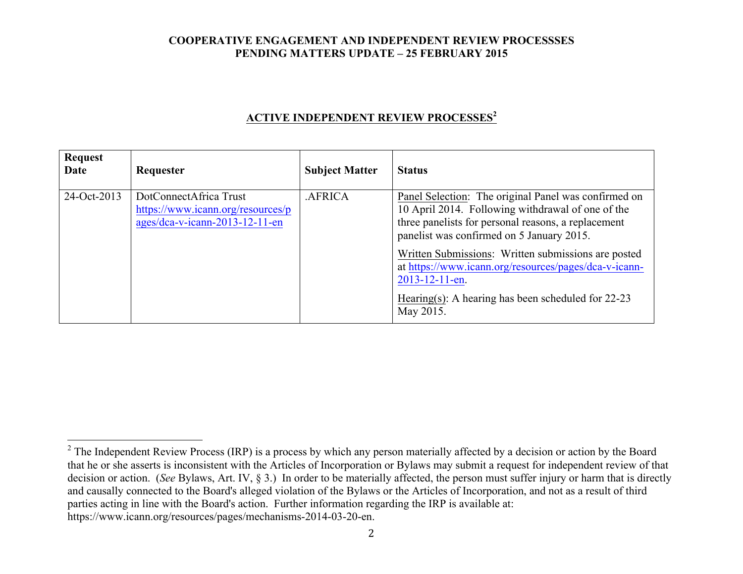# **ACTIVE INDEPENDENT REVIEW PROCESSES<sup>2</sup>**

| <b>Request</b><br>Date | Requester                                                                                       | <b>Subject Matter</b> | <b>Status</b>                                                                                                                                                                                                 |
|------------------------|-------------------------------------------------------------------------------------------------|-----------------------|---------------------------------------------------------------------------------------------------------------------------------------------------------------------------------------------------------------|
| 24-Oct-2013            | DotConnectAfrica Trust<br>https://www.icann.org/resources/p<br>$ages/dea-v-icann-2013-12-11-en$ | .AFRICA               | Panel Selection: The original Panel was confirmed on<br>10 April 2014. Following withdrawal of one of the<br>three panelists for personal reasons, a replacement<br>panelist was confirmed on 5 January 2015. |
|                        |                                                                                                 |                       | Written Submissions: Written submissions are posted<br>at https://www.icann.org/resources/pages/dca-v-icann-<br>2013-12-11-en.<br>Hearing(s): A hearing has been scheduled for $22-23$                        |
|                        |                                                                                                 |                       | May 2015.                                                                                                                                                                                                     |

<sup>&</sup>lt;sup>2</sup> The Independent Review Process (IRP) is a process by which any person materially affected by a decision or action by the Board that he or she asserts is inconsistent with the Articles of Incorporation or Bylaws may submit a request for independent review of that decision or action. (*See* Bylaws, Art. IV, § 3.) In order to be materially affected, the person must suffer injury or harm that is directly and causally connected to the Board's alleged violation of the Bylaws or the Articles of Incorporation, and not as a result of third parties acting in line with the Board's action. Further information regarding the IRP is available at: https://www.icann.org/resources/pages/mechanisms-2014-03-20-en.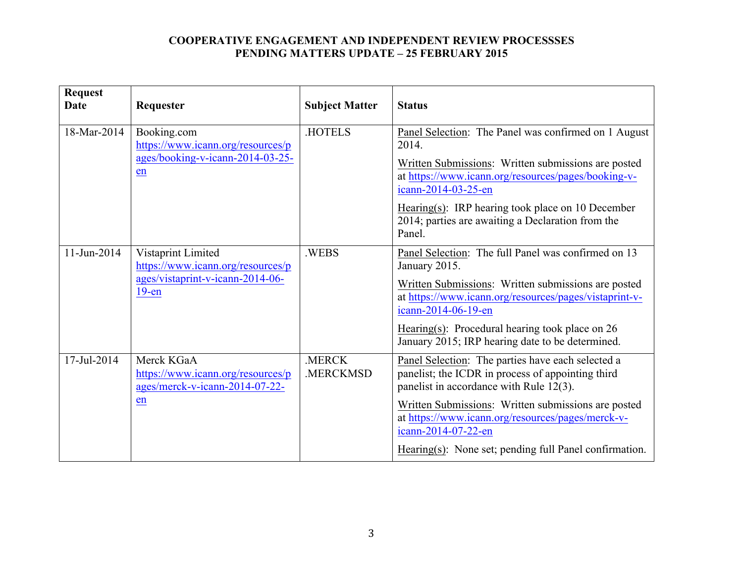| <b>Request</b><br><b>Date</b> | Requester                                                                                               | <b>Subject Matter</b> | <b>Status</b>                                                                                                                                     |
|-------------------------------|---------------------------------------------------------------------------------------------------------|-----------------------|---------------------------------------------------------------------------------------------------------------------------------------------------|
| 18-Mar-2014                   | Booking.com<br>https://www.icann.org/resources/p<br>ages/booking-v-icann-2014-03-25-<br>en              | <b>HOTELS</b>         | Panel Selection: The Panel was confirmed on 1 August<br>2014.                                                                                     |
|                               |                                                                                                         |                       | Written Submissions: Written submissions are posted<br>at https://www.icann.org/resources/pages/booking-v-<br>icann-2014-03-25-en                 |
|                               |                                                                                                         |                       | Hearing(s): IRP hearing took place on 10 December<br>2014; parties are awaiting a Declaration from the<br>Panel.                                  |
| $11$ -Jun-2014                | Vistaprint Limited<br>https://www.icann.org/resources/p<br>ages/vistaprint-v-icann-2014-06-<br>$19$ -en | .WEBS                 | Panel Selection: The full Panel was confirmed on 13<br>January 2015.                                                                              |
|                               |                                                                                                         |                       | Written Submissions: Written submissions are posted<br>at https://www.icann.org/resources/pages/vistaprint-v-<br>icann-2014-06-19-en              |
|                               |                                                                                                         |                       | Hearing(s): Procedural hearing took place on $26$<br>January 2015; IRP hearing date to be determined.                                             |
| 17-Jul-2014                   | Merck KGaA<br>https://www.icann.org/resources/p<br>ages/merck-v-icann-2014-07-22-                       | .MERCK<br>.MERCKMSD   | Panel Selection: The parties have each selected a<br>panelist; the ICDR in process of appointing third<br>panelist in accordance with Rule 12(3). |
|                               | en                                                                                                      |                       | Written Submissions: Written submissions are posted<br>at https://www.icann.org/resources/pages/merck-v-<br>icann-2014-07-22-en                   |
|                               |                                                                                                         |                       | Hearing(s): None set; pending full Panel confirmation.                                                                                            |